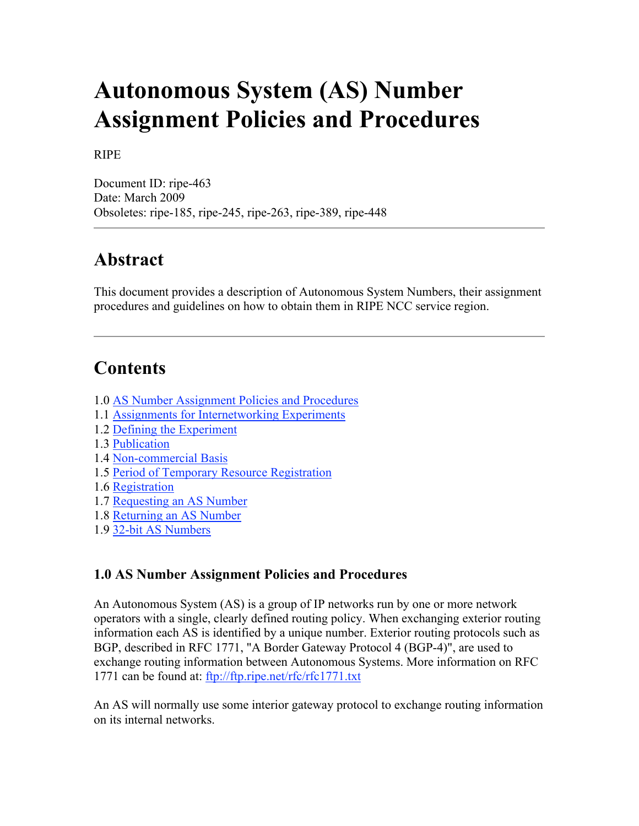# **Autonomous System (AS) Number Assignment Policies and Procedures**

#### RIPE

Document ID: ripe-463 Date: March 2009 Obsoletes: ripe-185, ripe-245, ripe-263, ripe-389, ripe-448

# **Abstract**

This document provides a description of Autonomous System Numbers, their assignment procedures and guidelines on how to obtain them in RIPE NCC service region.

# **Contents**

- 1.0 AS Number Assignment Policies and Procedures
- 1.1 Assignments for Internetworking Experiments
- 1.2 Defining the Experiment
- 1.3 Publication
- 1.4 Non-commercial Basis
- 1.5 Period of Temporary Resource Registration
- 1.6 Registration
- 1.7 Requesting an AS Number
- 1.8 Returning an AS Number
- 1.9 32-bit AS Numbers

#### **1.0 AS Number Assignment Policies and Procedures**

An Autonomous System (AS) is a group of IP networks run by one or more network operators with a single, clearly defined routing policy. When exchanging exterior routing information each AS is identified by a unique number. Exterior routing protocols such as BGP, described in RFC 1771, "A Border Gateway Protocol 4 (BGP-4)", are used to exchange routing information between Autonomous Systems. More information on RFC 1771 can be found at: ftp://ftp.ripe.net/rfc/rfc1771.txt

An AS will normally use some interior gateway protocol to exchange routing information on its internal networks.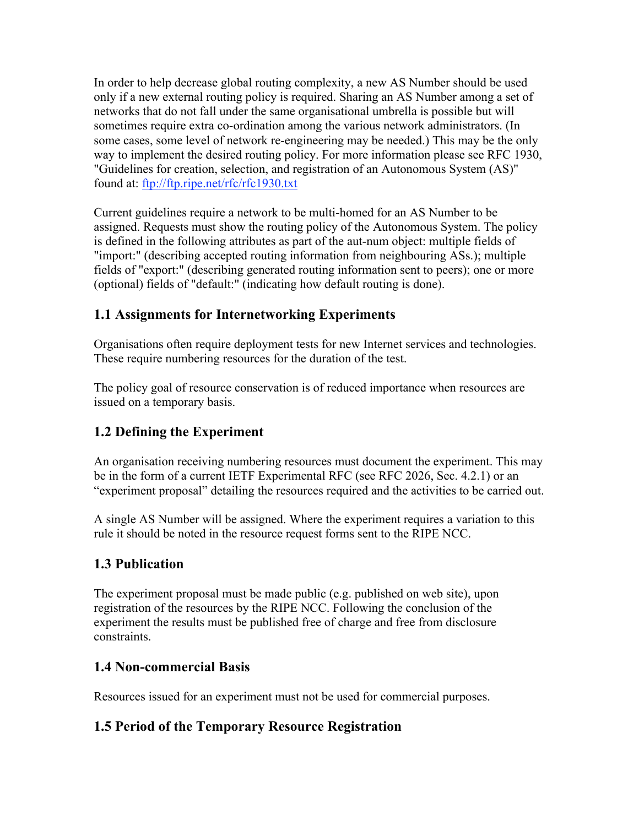In order to help decrease global routing complexity, a new AS Number should be used only if a new external routing policy is required. Sharing an AS Number among a set of networks that do not fall under the same organisational umbrella is possible but will sometimes require extra co-ordination among the various network administrators. (In some cases, some level of network re-engineering may be needed.) This may be the only way to implement the desired routing policy. For more information please see RFC 1930, "Guidelines for creation, selection, and registration of an Autonomous System (AS)" found at: ftp://ftp.ripe.net/rfc/rfc1930.txt

Current guidelines require a network to be multi-homed for an AS Number to be assigned. Requests must show the routing policy of the Autonomous System. The policy is defined in the following attributes as part of the aut-num object: multiple fields of "import:" (describing accepted routing information from neighbouring ASs.); multiple fields of "export:" (describing generated routing information sent to peers); one or more (optional) fields of "default:" (indicating how default routing is done).

#### **1.1 Assignments for Internetworking Experiments**

Organisations often require deployment tests for new Internet services and technologies. These require numbering resources for the duration of the test.

The policy goal of resource conservation is of reduced importance when resources are issued on a temporary basis.

## **1.2 Defining the Experiment**

An organisation receiving numbering resources must document the experiment. This may be in the form of a current IETF Experimental RFC (see RFC 2026, Sec. 4.2.1) or an "experiment proposal" detailing the resources required and the activities to be carried out.

A single AS Number will be assigned. Where the experiment requires a variation to this rule it should be noted in the resource request forms sent to the RIPE NCC.

#### **1.3 Publication**

The experiment proposal must be made public (e.g. published on web site), upon registration of the resources by the RIPE NCC. Following the conclusion of the experiment the results must be published free of charge and free from disclosure constraints.

#### **1.4 Non-commercial Basis**

Resources issued for an experiment must not be used for commercial purposes.

#### **1.5 Period of the Temporary Resource Registration**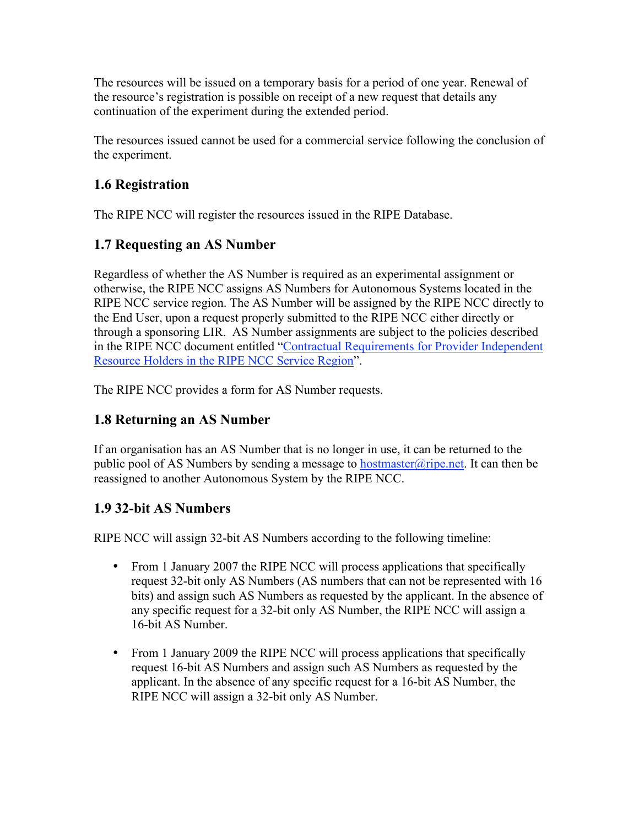The resources will be issued on a temporary basis for a period of one year. Renewal of the resource's registration is possible on receipt of a new request that details any continuation of the experiment during the extended period.

The resources issued cannot be used for a commercial service following the conclusion of the experiment.

#### **1.6 Registration**

The RIPE NCC will register the resources issued in the RIPE Database.

#### **1.7 Requesting an AS Number**

Regardless of whether the AS Number is required as an experimental assignment or otherwise, the RIPE NCC assigns AS Numbers for Autonomous Systems located in the RIPE NCC service region. The AS Number will be assigned by the RIPE NCC directly to the End User, upon a request properly submitted to the RIPE NCC either directly or through a sponsoring LIR. AS Number assignments are subject to the policies described in the RIPE NCC document entitled "Contractual Requirements for Provider Independent Resource Holders in the RIPE NCC Service Region".

The RIPE NCC provides a form for AS Number requests.

#### **1.8 Returning an AS Number**

If an organisation has an AS Number that is no longer in use, it can be returned to the public pool of AS Numbers by sending a message to hostmaster@ripe.net. It can then be reassigned to another Autonomous System by the RIPE NCC.

## **1.9 32-bit AS Numbers**

RIPE NCC will assign 32-bit AS Numbers according to the following timeline:

- From 1 January 2007 the RIPE NCC will process applications that specifically request 32-bit only AS Numbers (AS numbers that can not be represented with 16 bits) and assign such AS Numbers as requested by the applicant. In the absence of any specific request for a 32-bit only AS Number, the RIPE NCC will assign a 16-bit AS Number.
- From 1 January 2009 the RIPE NCC will process applications that specifically request 16-bit AS Numbers and assign such AS Numbers as requested by the applicant. In the absence of any specific request for a 16-bit AS Number, the RIPE NCC will assign a 32-bit only AS Number.